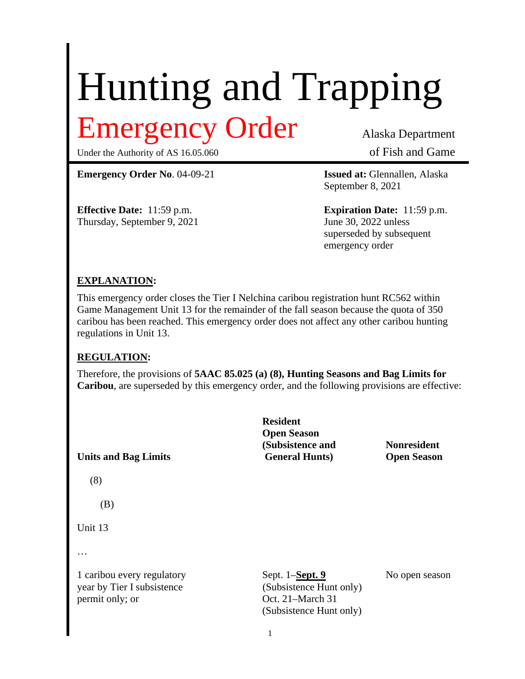# Hunting and Trapping Emergency Order Alaska Department

Under the Authority of AS 16.05.060 of Fish and Game

**Emergency Order No**. 04-09-21 **Issued at:** Glennallen, Alaska

Thursday, September 9, 2021

September 8, 2021

**Effective Date:** 11:59 p.m.<br> **Expiration Date:** 11:59 p.m.<br>
June 30, 2022 unless superseded by subsequent emergency order

## **EXPLANATION:**

This emergency order closes the Tier I Nelchina caribou registration hunt RC562 within Game Management Unit 13 for the remainder of the fall season because the quota of 350 caribou has been reached. This emergency order does not affect any other caribou hunting regulations in Unit 13.

## **REGULATION:**

(8)

…

Therefore, the provisions of **5AAC 85.025 (a) (8), Hunting Seasons and Bag Limits for Caribou**, are superseded by this emergency order, and the following provisions are effective:

**Resident Open Season (Subsistence and Nonresident Units and Bag Limits General Hunts) Open Season** (B) Unit 13 1 caribou every regulatory Sept. 1–**Sept. 9** No open season year by Tier I subsistence (Subsistence Hunt only) permit only; or  $Oct. 21–March 31$ (Subsistence Hunt only)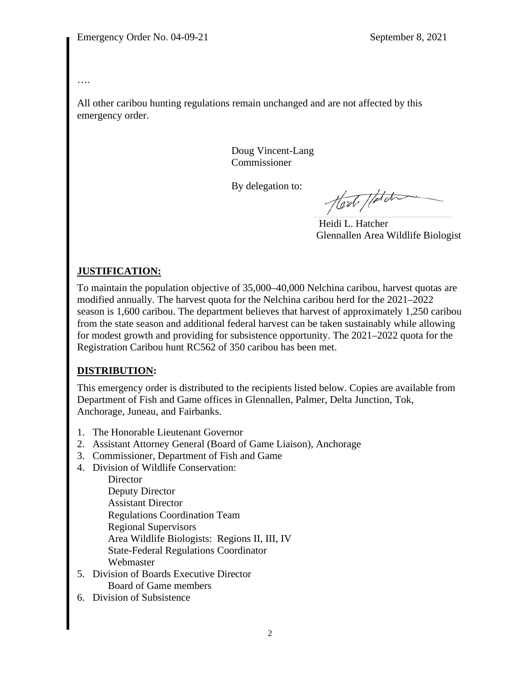#### ….

All other caribou hunting regulations remain unchanged and are not affected by this emergency order.

> Doug Vincent-Lang Commissioner

By delegation to:

Hod / fatch

 Heidi L. Hatcher Glennallen Area Wildlife Biologist

# **JUSTIFICATION:**

To maintain the population objective of 35,000–40,000 Nelchina caribou, harvest quotas are modified annually. The harvest quota for the Nelchina caribou herd for the 2021–2022 season is 1,600 caribou. The department believes that harvest of approximately 1,250 caribou from the state season and additional federal harvest can be taken sustainably while allowing for modest growth and providing for subsistence opportunity. The 2021–2022 quota for the Registration Caribou hunt RC562 of 350 caribou has been met.

## **DISTRIBUTION:**

This emergency order is distributed to the recipients listed below. Copies are available from Department of Fish and Game offices in Glennallen, Palmer, Delta Junction, Tok, Anchorage, Juneau, and Fairbanks.

- 1. The Honorable Lieutenant Governor
- 2. Assistant Attorney General (Board of Game Liaison), Anchorage
- 3. Commissioner, Department of Fish and Game
- 4. Division of Wildlife Conservation:

**Director** Deputy Director Assistant Director Regulations Coordination Team Regional Supervisors Area Wildlife Biologists: Regions II, III, IV State-Federal Regulations Coordinator Webmaster

- 5. Division of Boards Executive Director Board of Game members
- 6. Division of Subsistence